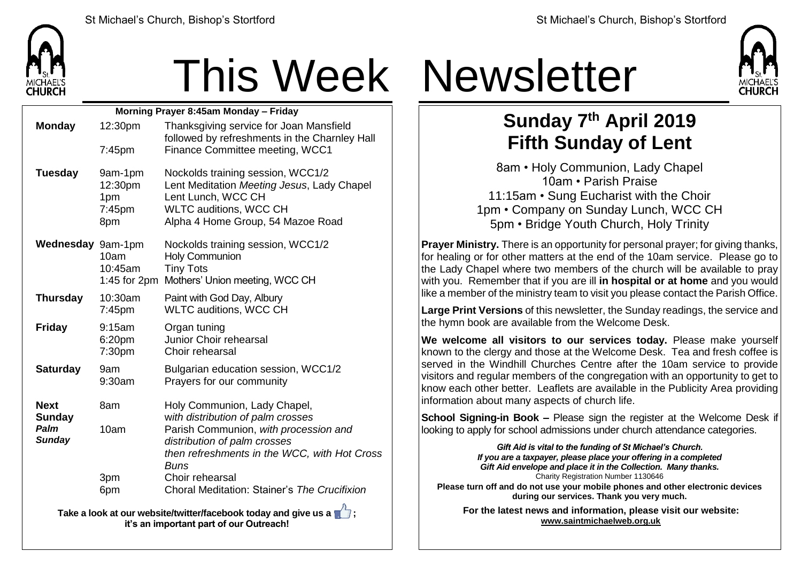

| Morning Prayer 8:45am Monday - Friday |                                            |                                                                                                                                                                             |  |  |
|---------------------------------------|--------------------------------------------|-----------------------------------------------------------------------------------------------------------------------------------------------------------------------------|--|--|
| <b>Monday</b>                         | 12:30pm                                    | Thanksgiving service for Joan Mansfield<br>followed by refreshments in the Charnley Hall                                                                                    |  |  |
|                                       | $7:45$ pm                                  | Finance Committee meeting, WCC1                                                                                                                                             |  |  |
| <b>Tuesday</b>                        | 9am-1pm<br>12:30pm<br>1pm<br>7:45pm<br>8pm | Nockolds training session, WCC1/2<br>Lent Meditation Meeting Jesus, Lady Chapel<br>Lent Lunch, WCC CH<br><b>WLTC auditions, WCC CH</b><br>Alpha 4 Home Group, 54 Mazoe Road |  |  |
| Wednesday 9am-1pm                     | 10am<br>10:45am                            | Nockolds training session, WCC1/2<br><b>Holy Communion</b><br><b>Tiny Tots</b><br>1:45 for 2pm Mothers' Union meeting, WCC CH                                               |  |  |
| <b>Thursday</b>                       | 10:30am<br>$7:45$ pm                       | Paint with God Day, Albury<br><b>WLTC auditions, WCC CH</b>                                                                                                                 |  |  |
| <b>Friday</b>                         | 9:15am<br>6:20pm<br>7:30pm                 | Organ tuning<br>Junior Choir rehearsal<br>Choir rehearsal                                                                                                                   |  |  |
| <b>Saturday</b>                       | 9am<br>9:30am                              | Bulgarian education session, WCC1/2<br>Prayers for our community                                                                                                            |  |  |
| <b>Next</b><br><b>Sunday</b>          | 8am                                        | Holy Communion, Lady Chapel,<br>with distribution of palm crosses                                                                                                           |  |  |
| Palm<br><b>Sunday</b>                 | 10am                                       | Parish Communion, with procession and<br>distribution of palm crosses<br>then refreshments in the WCC, with Hot Cross<br><b>Buns</b>                                        |  |  |
|                                       | 3pm<br>6pm                                 | Choir rehearsal<br>Choral Meditation: Stainer's The Crucifixion                                                                                                             |  |  |
|                                       |                                            |                                                                                                                                                                             |  |  |

**Take a look at our website/twitter/facebook today and give us a**  $\mathbb{Z}$ **; it's an important part of our Outreach!**

# This Week Newsletter



### **Sunday 7 th April 2019 Fifth Sunday of Lent**

8am • Holy Communion, Lady Chapel 10am • Parish Praise 11:15am • Sung Eucharist with the Choir 1pm • Company on Sunday Lunch, WCC CH 5pm • Bridge Youth Church, Holy Trinity

**Prayer Ministry.** There is an opportunity for personal prayer; for giving thanks, for healing or for other matters at the end of the 10am service. Please go to the Lady Chapel where two members of the church will be available to pray with you. Remember that if you are ill **in hospital or at home** and you would like a member of the ministry team to visit you please contact the Parish Office.

**Large Print Versions** of this newsletter, the Sunday readings, the service and the hymn book are available from the Welcome Desk.

**We welcome all visitors to our services today.** Please make yourself  $k$  known to the clergy and those at the Welcome Desk. Tea and fresh coffee is served in the Windhill Churches Centre after the 10am service to provide visitors and regular members of the congregation with an opportunity to get to know each other better. Leaflets are available in the Publicity Area providing information about many aspects of church life.

**School Signing-in Book –** Please sign the register at the Welcome Desk if looking to apply for school admissions under church attendance categories.

> *Gift Aid is vital to the funding of St Michael's Church. If you are a taxpayer, please place your offering in a completed Gift Aid envelope and place it in the Collection. Many thanks.* Charity Registration Number 1130646

**Please turn off and do not use your mobile phones and other electronic devices during our services. Thank you very much.**

**For the latest news and information, please visit our website: [www.saintmichaelweb.org.uk](http://www.saintmichaelweb.org.uk/)**